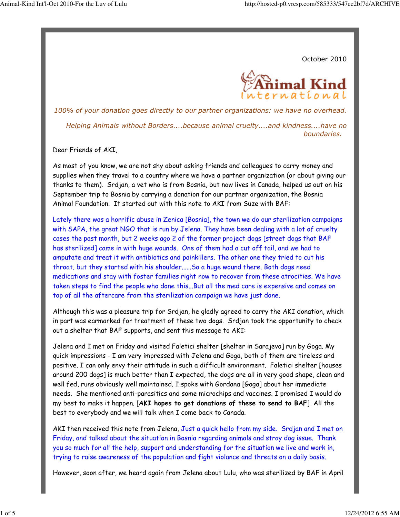October 2010



100% of your donation goes directly to our partner organizations: we have no overhead. Helping Animals without Borders....because animal cruelty....and kindness....have no boundaries.

Dear Friends of AKI,

As most of you know, we are not shy about asking friends and colleagues to carry money and supplies when they travel to a country where we have a partner organization (or about giving our thanks to them). Srdjan, a vet who is from Bosnia, but now lives in Canada, helped us out on his September trip to Bosnia by carrying a donation for our partner organization, the Bosnia Animal Foundation. It started out with this note to AKI from Suze with BAF:

Lately there was a horrific abuse in Zenica [Bosnia], the town we do our sterilization campaigns with SAPA, the great NGO that is run by Jelena. They have been dealing with a lot of cruelty cases the past month, but 2 weeks ago 2 of the former project dogs [street dogs that BAF has sterilized] came in with huge wounds. One of them had a cut off tail, and we had to amputate and treat it with antibiotics and painkillers. The other one they tried to cut his throat, but they started with his shoulder......So a huge wound there. Both dogs need medications and stay with foster families right now to recover from these atrocities. We have taken steps to find the people who done this...But all the med care is expensive and comes on top of all the aftercare from the sterilization campaign we have just done.

Although this was a pleasure trip for Srdjan, he gladly agreed to carry the AKI donation, which in part was earmarked for treatment of these two dogs. Srdjan took the opportunity to check out a shelter that BAF supports, and sent this message to AKI:

Jelena and I met on Friday and visited Faletici shelter [shelter in Sarajevo] run by Goga. My quick impressions - I am very impressed with Jelena and Goga, both of them are tireless and positive. I can only envy their attitude in such a difficult environment. Faletici shelter [houses around 200 dogs] is much better than I expected, the dogs are all in very good shape, clean and well fed, runs obviously well maintained. I spoke with Gordana [Goga] about her immediate needs. She mentioned anti-parasitics and some microchips and vaccines. I promised I would do my best to make it happen. [AKI hopes to get donations of these to send to BAF] All the best to everybody and we will talk when I come back to Canada.

AKI then received this note from Jelena, Just a quick hello from my side. Srdjan and I met on Friday, and talked about the situation in Bosnia regarding animals and stray dog issue. Thank you so much for all the help, support and understanding for the situation we live and work in, trying to raise awareness of the population and fight violance and threats on a daily basis.

However, soon after, we heard again from Jelena about Lulu, who was sterilized by BAF in April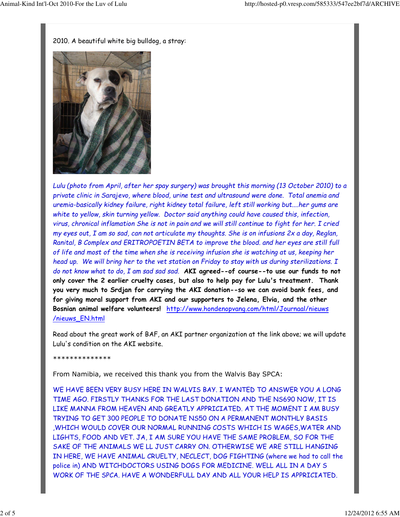2010. A beautiful white big bulldog, a stray:



Lulu (photo from April, after her spay surgery) was brought this morning (13 October 2010) to a private clinic in Sarajevo, where blood, urine test and ultrasound were done. Total anemia and uremia-basically kidney failure, right kidney total failure, left still working but....her gums are white to yellow, skin turning yellow. Doctor said anything could have caused this, infection, virus, chronical inflamation She is not in pain and we will still continue to fight for her. I cried my eyes out, I am so sad, can not articulate my thoughts. She is on infusions 2x a day, Reglan, Ranital, B Complex and ERITROPOETIN BETA to improve the blood. and her eyes are still full of life and most of the time when she is receiving infusion she is watching at us, keeping her head up. We will bring her to the vet station on Friday to stay with us during sterilizations. I do not know what to do, I am sad sad sad. AKI agreed--of course--to use our funds to not only cover the 2 earlier cruelty cases, but also to help pay for Lulu's treatment. Thank you very much to Srdjan for carrying the AKI donation--so we can avoid bank fees, and for giving moral support from AKI and our supporters to Jelena, Elvia, and the other Bosnian animal welfare volunteers! http://www.hondenopvang.com/html/Journaal/nieuws /nieuws\_EN.html

Read about the great work of BAF, an AKI partner organization at the link above; we will update Lulu's condition on the AKI website.

\*\*\*\*\*\*\*\*\*\*\*\*\*\*

From Namibia, we received this thank you from the Walvis Bay SPCA:

WE HAVE BEEN VERY BUSY HERE IN WALVIS BAY. I WANTED TO ANSWER YOU A LONG TIME AGO. FIRSTLY THANKS FOR THE LAST DONATION AND THE NS690 NOW, IT IS LIKE MANNA FROM HEAVEN AND GREATLY APPRICIATED. AT THE MOMENT I AM BUSY TRYING TO GET 300 PEOPLE TO DONATE NS50 ON A PERMANENT MONTHLY BASIS ,WHICH WOULD COVER OUR NORMAL RUNNING COSTS WHICH IS WAGES,WATER AND LIGHTS, FOOD AND VET. JA, I AM SURE YOU HAVE THE SAME PROBLEM, SO FOR THE SAKE OF THE ANIMALS WE LL JUST CARRY ON. OTHERWISE WE ARE STILL HANGING IN HERE, WE HAVE ANIMAL CRUELTY, NECLECT, DOG FIGHTING (where we had to call the police in) AND WITCHDOCTORS USING DOGS FOR MEDICINE. WELL ALL IN A DAY S WORK OF THE SPCA. HAVE A WONDERFULL DAY AND ALL YOUR HELP IS APPRICIATED.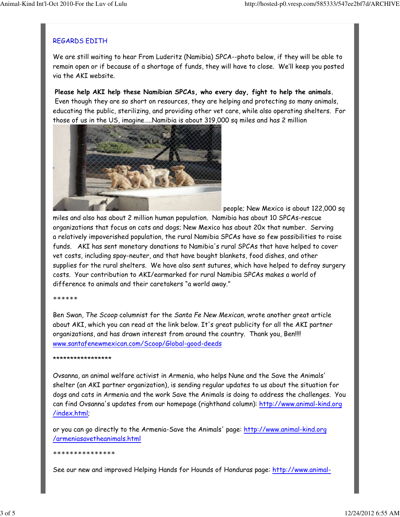# REGARDS EDITH

We are still waiting to hear From Luderitz (Namibia) SPCA--photo below, if they will be able to remain open or if because of a shortage of funds, they will have to close. We'll keep you posted via the AKI website.

Please help AKI help these Namibian SPCAs, who every day, fight to help the animals. Even though they are so short on resources, they are helping and protecting so many animals, educating the public, sterilizing, and providing other vet care, while also operating shelters. For those of us in the US, imagine…..Namibia is about 319,000 sq miles and has 2 million



people; New Mexico is about 122,000 sq

miles and also has about 2 million human population. Namibia has about 10 SPCAs-rescue organizations that focus on cats and dogs; New Mexico has about 20x that number. Serving a relatively impoverished population, the rural Namibia SPCAs have so few possibilities to raise funds. AKI has sent monetary donations to Namibia's rural SPCAs that have helped to cover vet costs, including spay-neuter, and that have bought blankets, food dishes, and other supplies for the rural shelters. We have also sent sutures, which have helped to defray surgery costs. Your contribution to AKI/earmarked for rural Namibia SPCAs makes a world of difference to animals and their caretakers "a world away."

### \*\*\*\*\*\*

Ben Swan, The Scoop columnist for the Santa Fe New Mexican, wrote another great article about AKI, which you can read at the link below. It's great publicity for all the AKI partner organizations, and has drawn interest from around the country. Thank you, Ben!!!! www.santafenewmexican.com/Scoop/Global-good-deeds

### \*\*\*\*\*\*\*\*\*\*\*\*\*\*\*\*\*

Ovsanna, an animal welfare activist in Armenia, who helps Nune and the Save the Animals' shelter (an AKI partner organization), is sending regular updates to us about the situation for dogs and cats in Armenia and the work Save the Animals is doing to address the challenges. You can find Ovsanna's updates from our homepage (righthand column): http://www.animal-kind.org /index.html;

or you can go directly to the Armenia-Save the Animals' page: http://www.animal-kind.org /armeniasavetheanimals.html

### \*\*\*\*\*\*\*\*\*\*\*\*\*\*\*

See our new and improved Helping Hands for Hounds of Honduras page: http://www.animal-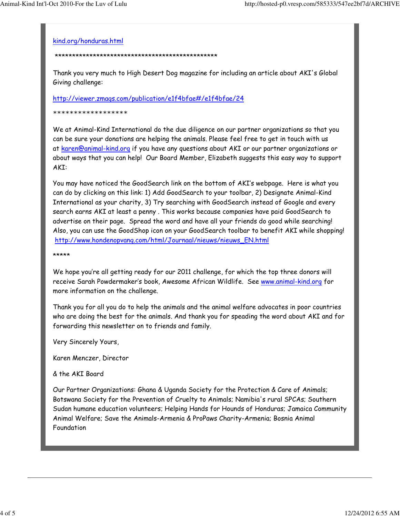### kind.org/honduras.html

### \*\*\*\*\*\*\*\*\*\*\*\*\*\*\*\*\*\*\*\*\*\*\*\*\*\*\*\*\*\*\*\*\*\*\*\*\*\*\*\*\*\*\*\*\*\*\*

Thank you very much to High Desert Dog magazine for including an article about AKI's Global Giving challenge:

## http://viewer.zmags.com/publication/e1f4bfae#/e1f4bfae/24

### \*\*\*\*\*\*\*\*\*\*\*\*\*\*\*\*\*\*

We at Animal-Kind International do the due diligence on our partner organizations so that you can be sure your donations are helping the animals. Please feel free to get in touch with us at karen@animal-kind.org if you have any questions about AKI or our partner organizations or about ways that you can help! Our Board Member, Elizabeth suggests this easy way to support AKI:

You may have noticed the GoodSearch link on the bottom of AKI's webpage. Here is what you can do by clicking on this link: 1) Add GoodSearch to your toolbar, 2) Designate Animal-Kind International as your charity, 3) Try searching with GoodSearch instead of Google and every search earns AKI at least a penny . This works because companies have paid GoodSearch to advertise on their page. Spread the word and have all your friends do good while searching! Also, you can use the GoodShop icon on your GoodSearch toolbar to benefit AKI while shopping! http://www.hondenopvang.com/html/Journaal/nieuws/nieuws\_EN.html

\*\*\*\*\*

We hope you're all getting ready for our 2011 challenge, for which the top three donors will receive Sarah Powdermaker's book, Awesome African Wildlife. See www.animal-kind.org for more information on the challenge.

Thank you for all you do to help the animals and the animal welfare advocates in poor countries who are doing the best for the animals. And thank you for speading the word about AKI and for forwarding this newsletter on to friends and family.

Very Sincerely Yours,

Karen Menczer, Director

& the AKI Board

Our Partner Organizations: Ghana & Uganda Society for the Protection & Care of Animals; Botswana Society for the Prevention of Cruelty to Animals; Namibia's rural SPCAs; Southern Sudan humane education volunteers; Helping Hands for Hounds of Honduras; Jamaica Community Animal Welfare; Save the Animals-Armenia & ProPaws Charity-Armenia; Bosnia Animal Foundation